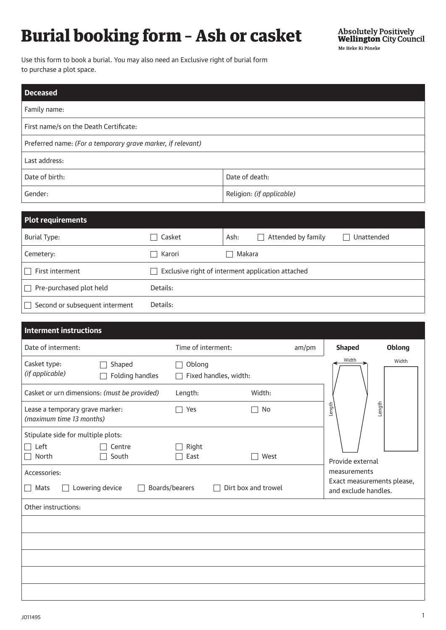## Burial booking form – Ash or casket

Use this form to book a burial. You may also need an Exclusive right of burial form to purchase a plot space.

| <b>Deceased</b>                                             |                           |  |
|-------------------------------------------------------------|---------------------------|--|
| Family name:                                                |                           |  |
| First name/s on the Death Certificate:                      |                           |  |
| Preferred name: (For a temporary grave marker, if relevant) |                           |  |
| Last address:                                               |                           |  |
| Date of birth:                                              | Date of death:            |  |
| Gender:                                                     | Religion: (if applicable) |  |
|                                                             |                           |  |
| Dlot voorivomonte                                           |                           |  |

| Plot requirements                 |                                                                        |                                            |            |
|-----------------------------------|------------------------------------------------------------------------|--------------------------------------------|------------|
| <b>Burial Type:</b>               | Casket                                                                 | Attended by family<br>Ash:<br>$\mathbf{I}$ | Unattended |
| Cemetery:                         | Karori                                                                 | Makara                                     |            |
| First interment                   | Exclusive right of interment application attached<br>$\vert \ \ \vert$ |                                            |            |
| Pre-purchased plot held<br>$\Box$ | Details:                                                               |                                            |            |
| Second or subsequent interment    | Details:                                                               |                                            |            |

| <b>Interment instructions</b>                               |                                              |                                                                 |                     |       |                                                                    |        |
|-------------------------------------------------------------|----------------------------------------------|-----------------------------------------------------------------|---------------------|-------|--------------------------------------------------------------------|--------|
| Date of interment:                                          |                                              | Time of interment:                                              |                     | am/pm | <b>Shaped</b>                                                      | Oblong |
| Casket type:<br>(if applicable)                             | Shaped<br>I.<br>Folding handles              | Oblong<br>$\mathbf{I}$<br>Fixed handles, width:<br>$\mathbf{L}$ |                     |       | Width                                                              | Width  |
|                                                             | Casket or urn dimensions: (must be provided) | Length:                                                         | Width:              |       |                                                                    |        |
| Lease a temporary grave marker:<br>(maximum time 13 months) |                                              | Yes                                                             | No                  |       | Length                                                             | Length |
| Stipulate side for multiple plots:                          |                                              |                                                                 |                     |       |                                                                    |        |
| Left<br>$\blacksquare$<br>North                             | Centre<br>South                              | Right<br>East                                                   | West                |       | Provide external                                                   |        |
| Accessories:<br>Mats<br>$\Box$                              | Lowering device                              | Boards/bearers                                                  | Dirt box and trowel |       | measurements<br>Exact measurements please,<br>and exclude handles. |        |
| Other instructions:                                         |                                              |                                                                 |                     |       |                                                                    |        |
|                                                             |                                              |                                                                 |                     |       |                                                                    |        |
|                                                             |                                              |                                                                 |                     |       |                                                                    |        |
|                                                             |                                              |                                                                 |                     |       |                                                                    |        |
|                                                             |                                              |                                                                 |                     |       |                                                                    |        |
|                                                             |                                              |                                                                 |                     |       |                                                                    |        |